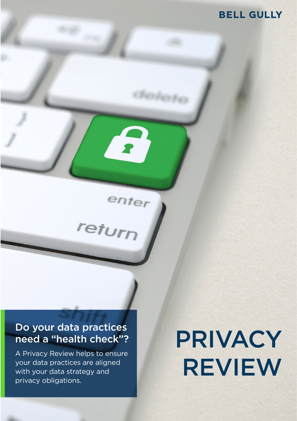# **BELL GULLY**

# Do your data practices need a "health check"?

enter

A Privacy Review helps to ensure your data practices are aligned with your data strategy and privacy obligations.

# PRIVACY REVIEW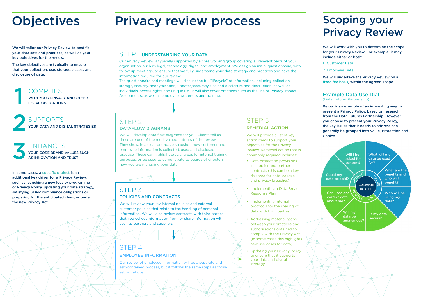# **Objectives**

Privacy review process Scoping your

We will tailor our Privacy Review to best fit your data sets and practices, as well as your key objectives for the review.

The key objectives are typically to ensure that your collection, use, storage, access and disclosure of data:

In some cases, a specific project is an additional key driver for a Privacy Review, such as launching a new loyalty programme or Privacy Policy, updating your data strategy, satisfying GDPR compliance obligations or preparing for the anticipated changes under the new Privacy Act.

#### STEP 1 UNDERSTANDING YOUR DATA

Our Privacy Review is typically supported by a core working group covering all relevant parts of your organisation, such as legal, technology, digital and employment. We design an initial questionnaire, with follow up meetings, to ensure that we fully understand your data strategy and practices and have the information required for our review

> We will provide a list of key action items to support your objectives for the Privacy Review. Remedial action that is commonly required includes:

The questionnaire and meetings will discuss the full "lifecycle" of information, including collection, storage, security, anonymisation, updates/accuracy, use and disclosure and destruction, as well as individuals' access rights and unique IDs. It will also cover practices such as the use of Privacy Impact Assessments, as well as employee awareness and training.

## STEP 3 POLICIES AND CONTRACTS

We will review your key internal policies and external customer policies that relate to the handling of personal information. We will also review contracts with third parties that you collect information from, or share information with, such as partners and suppliers.

# STEP 4

#### EMPLOYEE INFORMATION

Our review of employee information will be a separate and self-contained process, but it follows the same steps as those set out above.

#### STEP 5 REMEDIAL ACTION

# SUPPORTS YOUR DATA AND DIGITAL STRATEGIES 2

ENHANCES YOUR CORE BRAND VALUES SUCH AS INNOVATION AND TRUST 3

COMPLIES WITH YOUR PRIVACY AND OTHER LEGAL OBLIGATIONS 1

- Data protection provisions in supplier and partner contracts (this can be a key risk area for data leakage and privacy breaches)
- Implementing a Data Breach Response Plan
- Implementing internal protocols for the sharing of data with third parties
- Addressing material "gaps" between your practices and authorisations obtained to comply with the Privacy Act (in some cases this highlights new use-cases for data)
- Updating your Privacy Policy to ensure that it supports your data and digital strategy.

# Privacy Review

We will work with you to determine the scope for your Privacy Review. For example, it may include either or both:

- 1. Customer Data
- 2. Employee Data

We will undertake the Privacy Review on a fixed fee basis, within the agreed scope.

#### Example Data Use Dial (Data Futures Partnership)

Below is an example of an interesting way to present a Privacy Policy, based on research from the Data Futures Partnership. However you choose to present your Privacy Policy, the key issues that it needs to address can generally be grouped into Value, Protection and Choice.



#### STEP 2 DATAFLOW DIAGRAMS

We will develop data flow diagrams for you. Clients tell us these are one of the most valued outputs of the review. They show, in a clear one-page snapshot, how customer and employee information is collected, used and disclosed in practice. These can highlight crucial areas for internal training purposes, or be used to demonstrate to boards of directors how you are managing your data.